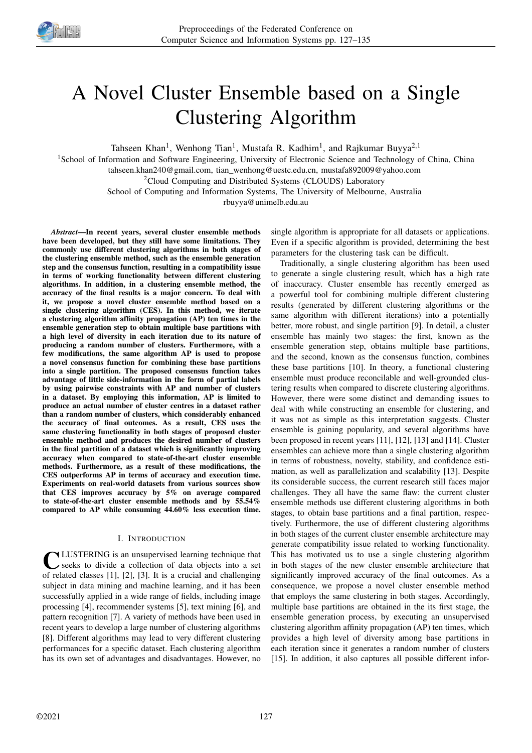

# A Novel Cluster Ensemble based on a Single Clustering Algorithm

Tahseen Khan<sup>1</sup>, Wenhong Tian<sup>1</sup>, Mustafa R. Kadhim<sup>1</sup>, and Rajkumar Buyya<sup>2,1</sup>

<sup>1</sup>School of Information and Software Engineering, University of Electronic Science and Technology of China, China

tahseen.khan240@gmail.com, tian\_wenhong@uestc.edu.cn, mustafa892009@yahoo.com

<sup>2</sup>Cloud Computing and Distributed Systems (CLOUDS) Laboratory

School of Computing and Information Systems, The University of Melbourne, Australia

rbuyya@unimelb.edu.au

*Abstract*—In recent years, several cluster ensemble methods have been developed, but they still have some limitations. They commonly use different clustering algorithms in both stages of the clustering ensemble method, such as the ensemble generation step and the consensus function, resulting in a compatibility issue in terms of working functionality between different clustering algorithms. In addition, in a clustering ensemble method, the accuracy of the final results is a major concern. To deal with it, we propose a novel cluster ensemble method based on a single clustering algorithm (CES). In this method, we iterate a clustering algorithm affinity propagation (AP) ten times in the ensemble generation step to obtain multiple base partitions with a high level of diversity in each iteration due to its nature of producing a random number of clusters. Furthermore, with a few modifications, the same algorithm AP is used to propose a novel consensus function for combining these base partitions into a single partition. The proposed consensus function takes advantage of little side-information in the form of partial labels by using pairwise constraints with AP and number of clusters in a dataset. By employing this information, AP is limited to produce an actual number of cluster centres in a dataset rather than a random number of clusters, which considerably enhanced the accuracy of final outcomes. As a result, CES uses the same clustering functionality in both stages of proposed cluster ensemble method and produces the desired number of clusters in the final partition of a dataset which is significantly improving accuracy when compared to state-of-the-art cluster ensemble methods. Furthermore, as a result of these modifications, the CES outperforms AP in terms of accuracy and execution time. Experiments on real-world datasets from various sources show that CES improves accuracy by 5% on average compared to state-of-the-art cluster ensemble methods and by 55.54% compared to AP while consuming 44.60% less execution time.

# I. INTRODUCTION

**C** LUSTERING is an unsupervised learning technique that seeks to divide a collection of data objects into a set of related classes [1], [2], [3]. It is a crucial and challenging LUSTERING is an unsupervised learning technique that seeks to divide a collection of data objects into a set subject in data mining and machine learning, and it has been successfully applied in a wide range of fields, including image processing [4], recommender systems [5], text mining [6], and pattern recognition [7]. A variety of methods have been used in recent years to develop a large number of clustering algorithms [8]. Different algorithms may lead to very different clustering performances for a specific dataset. Each clustering algorithm has its own set of advantages and disadvantages. However, no single algorithm is appropriate for all datasets or applications. Even if a specific algorithm is provided, determining the best parameters for the clustering task can be difficult.

Traditionally, a single clustering algorithm has been used to generate a single clustering result, which has a high rate of inaccuracy. Cluster ensemble has recently emerged as a powerful tool for combining multiple different clustering results (generated by different clustering algorithms or the same algorithm with different iterations) into a potentially better, more robust, and single partition [9]. In detail, a cluster ensemble has mainly two stages: the first, known as the ensemble generation step, obtains multiple base partitions, and the second, known as the consensus function, combines these base partitions [10]. In theory, a functional clustering ensemble must produce reconcilable and well-grounded clustering results when compared to discrete clustering algorithms. However, there were some distinct and demanding issues to deal with while constructing an ensemble for clustering, and it was not as simple as this interpretation suggests. Cluster ensemble is gaining popularity, and several algorithms have been proposed in recent years [11], [12], [13] and [14]. Cluster ensembles can achieve more than a single clustering algorithm in terms of robustness, novelty, stability, and confidence estimation, as well as parallelization and scalability [13]. Despite its considerable success, the current research still faces major challenges. They all have the same flaw: the current cluster ensemble methods use different clustering algorithms in both stages, to obtain base partitions and a final partition, respectively. Furthermore, the use of different clustering algorithms in both stages of the current cluster ensemble architecture may generate compatibility issue related to working functionality. This has motivated us to use a single clustering algorithm in both stages of the new cluster ensemble architecture that significantly improved accuracy of the final outcomes. As a consequence, we propose a novel cluster ensemble method that employs the same clustering in both stages. Accordingly, multiple base partitions are obtained in the its first stage, the ensemble generation process, by executing an unsupervised clustering algorithm affinity propagation (AP) ten times, which provides a high level of diversity among base partitions in each iteration since it generates a random number of clusters [15]. In addition, it also captures all possible different infor-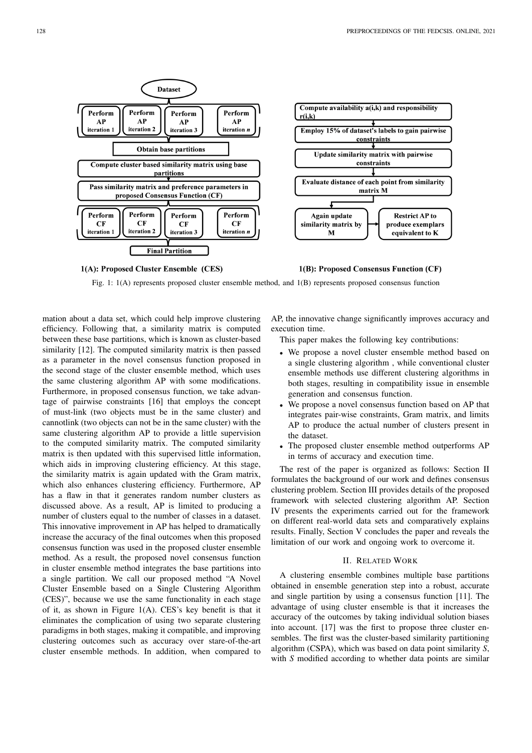



Fig. 1: 1(A) represents proposed cluster ensemble method, and 1(B) represents proposed consensus function

mation about a data set, which could help improve clustering efficiency. Following that, a similarity matrix is computed between these base partitions, which is known as cluster-based similarity [12]. The computed similarity matrix is then passed as a parameter in the novel consensus function proposed in the second stage of the cluster ensemble method, which uses the same clustering algorithm AP with some modifications. Furthermore, in proposed consensus function, we take advantage of pairwise constraints [16] that employs the concept of must-link (two objects must be in the same cluster) and cannotlink (two objects can not be in the same cluster) with the same clustering algorithm AP to provide a little supervision to the computed similarity matrix. The computed similarity matrix is then updated with this supervised little information, which aids in improving clustering efficiency. At this stage, the similarity matrix is again updated with the Gram matrix, which also enhances clustering efficiency. Furthermore, AP has a flaw in that it generates random number clusters as discussed above. As a result, AP is limited to producing a number of clusters equal to the number of classes in a dataset. This innovative improvement in AP has helped to dramatically increase the accuracy of the final outcomes when this proposed consensus function was used in the proposed cluster ensemble method. As a result, the proposed novel consensus function in cluster ensemble method integrates the base partitions into a single partition. We call our proposed method "A Novel Cluster Ensemble based on a Single Clustering Algorithm (CES)", because we use the same functionality in each stage of it, as shown in Figure 1(A). CES's key benefit is that it eliminates the complication of using two separate clustering paradigms in both stages, making it compatible, and improving clustering outcomes such as accuracy over stare-of-the-art cluster ensemble methods. In addition, when compared to AP, the innovative change significantly improves accuracy and execution time.

This paper makes the following key contributions:

- We propose a novel cluster ensemble method based on a single clustering algorithm , while conventional cluster ensemble methods use different clustering algorithms in both stages, resulting in compatibility issue in ensemble generation and consensus function.
- We propose a novel consensus function based on AP that integrates pair-wise constraints, Gram matrix, and limits AP to produce the actual number of clusters present in the dataset.
- The proposed cluster ensemble method outperforms AP in terms of accuracy and execution time.

The rest of the paper is organized as follows: Section II formulates the background of our work and defines consensus clustering problem. Section III provides details of the proposed framework with selected clustering algorithm AP. Section IV presents the experiments carried out for the framework on different real-world data sets and comparatively explains results. Finally, Section V concludes the paper and reveals the limitation of our work and ongoing work to overcome it.

# II. RELATED WORK

A clustering ensemble combines multiple base partitions obtained in ensemble generation step into a robust, accurate and single partition by using a consensus function [11]. The advantage of using cluster ensemble is that it increases the accuracy of the outcomes by taking individual solution biases into account. [17] was the first to propose three cluster ensembles. The first was the cluster-based similarity partitioning algorithm (CSPA), which was based on data point similarity *S*, with *S* modified according to whether data points are similar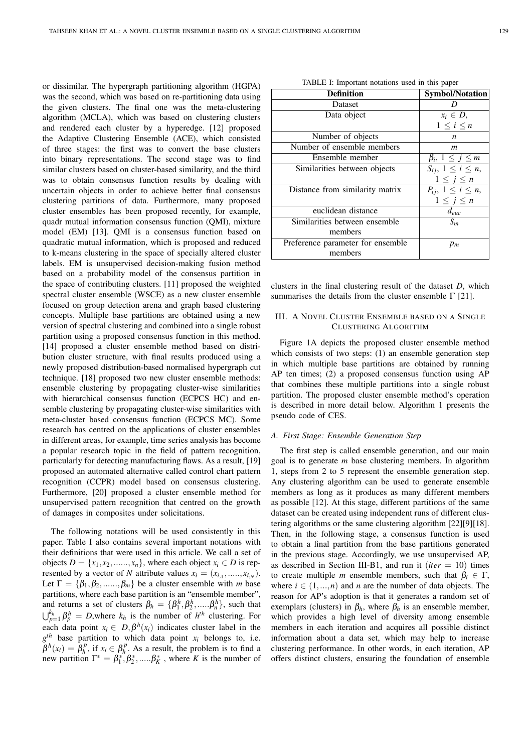or dissimilar. The hypergraph partitioning algorithm (HGPA) was the second, which was based on re-partitioning data using the given clusters. The final one was the meta-clustering algorithm (MCLA), which was based on clustering clusters and rendered each cluster by a hyperedge. [12] proposed the Adaptive Clustering Ensemble (ACE), which consisted of three stages: the first was to convert the base clusters into binary representations. The second stage was to find similar clusters based on cluster-based similarity, and the third was to obtain consensus function results by dealing with uncertain objects in order to achieve better final consensus clustering partitions of data. Furthermore, many proposed cluster ensembles has been proposed recently, for example, quadr mutual information consensus function (QMI), mixture model (EM) [13]. QMI is a consensus function based on quadratic mutual information, which is proposed and reduced to k-means clustering in the space of specially altered cluster labels. EM is unsupervised decision-making fusion method based on a probability model of the consensus partition in the space of contributing clusters. [11] proposed the weighted spectral cluster ensemble (WSCE) as a new cluster ensemble focused on group detection arena and graph based clustering concepts. Multiple base partitions are obtained using a new version of spectral clustering and combined into a single robust partition using a proposed consensus function in this method. [14] proposed a cluster ensemble method based on distribution cluster structure, with final results produced using a newly proposed distribution-based normalised hypergraph cut technique. [18] proposed two new cluster ensemble methods: ensemble clustering by propagating cluster-wise similarities with hierarchical consensus function (ECPCS HC) and ensemble clustering by propagating cluster-wise similarities with meta-cluster based consensus function (ECPCS MC). Some research has centred on the applications of cluster ensembles in different areas, for example, time series analysis has become a popular research topic in the field of pattern recognition, particularly for detecting manufacturing flaws. As a result, [19] proposed an automated alternative called control chart pattern recognition (CCPR) model based on consensus clustering. Furthermore, [20] proposed a cluster ensemble method for unsupervised pattern recognition that centred on the growth of damages in composites under solicitations.

The following notations will be used consistently in this paper. Table I also contains several important notations with their definitions that were used in this article. We call a set of objects  $D = \{x_1, x_2, \ldots, x_n\}$ , where each object  $x_i \in D$  is represented by a vector of *N* attribute values  $x_i = (x_{i,1}, \ldots, x_{i,N})$ . Let  $\Gamma = \{\beta_1, \beta_2, \ldots, \beta_m\}$  be a cluster ensemble with *m* base partitions, where each base partition is an "ensemble member", and returns a set of clusters  $\beta_h = {\beta_1^h, \beta_2^h, \ldots, \beta_n^h}$ , such that  $\bigcup_{p=1}^{k_h} \beta_p^h = D$ , where  $k_h$  is the number of  $h^{th}$  clustering. For each data point  $x_i \in D$ ,  $\beta^h(x_i)$  indicates cluster label in the  $g<sup>th</sup>$  base partition to which data point  $x<sub>i</sub>$  belongs to, i.e.  $\beta^h(x_i) = \beta^p_h$ , if  $x_i \in \beta^p_h$ . As a result, the problem is to find a new partition  $\Gamma^* = \beta_1^*, \beta_2^*, \dots, \beta_K^*$ , where *K* is the number of

| TABLE I: Important notations used in this paper |  |  |  |  |  |
|-------------------------------------------------|--|--|--|--|--|
|-------------------------------------------------|--|--|--|--|--|

| <b>Definition</b>                 | <b>Symbol/Notation</b>     |
|-----------------------------------|----------------------------|
| Dataset                           |                            |
| Data object                       | $x_i \in D$ ,              |
|                                   | $1\leq i\leq n$            |
| Number of objects                 | n                          |
| Number of ensemble members        | m                          |
| Ensemble member                   | $\beta_i, 1 \leq j \leq m$ |
| Similarities between objects      | $S_{ij}, 1 \leq i \leq n,$ |
|                                   | $1\leq j\leq n$            |
| Distance from similarity matrix   | $P_{ij}, 1 \leq i \leq n,$ |
|                                   | $1\leq j\leq n$            |
| euclidean distance                | $d_{euc}$                  |
| Similarities between ensemble     | $S_m$                      |
| members                           |                            |
| Preference parameter for ensemble | $p_m$                      |
| members                           |                            |

clusters in the final clustering result of the dataset *D*, which summarises the details from the cluster ensemble  $\Gamma$  [21].

# III. A NOVEL CLUSTER ENSEMBLE BASED ON A SINGLE CLUSTERING ALGORITHM

Figure 1A depicts the proposed cluster ensemble method which consists of two steps: (1) an ensemble generation step in which multiple base partitions are obtained by running AP ten times; (2) a proposed consensus function using AP that combines these multiple partitions into a single robust partition. The proposed cluster ensemble method's operation is described in more detail below. Algorithm 1 presents the pseudo code of CES.

#### *A. First Stage: Ensemble Generation Step*

The first step is called ensemble generation, and our main goal is to generate *m* base clustering members. In algorithm 1, steps from 2 to 5 represent the ensemble generation step. Any clustering algorithm can be used to generate ensemble members as long as it produces as many different members as possible [12]. At this stage, different partitions of the same dataset can be created using independent runs of different clustering algorithms or the same clustering algorithm [22][9][18]. Then, in the following stage, a consensus function is used to obtain a final partition from the base partitions generated in the previous stage. Accordingly, we use unsupervised AP, as described in Section III-B1, and run it  $(iter = 10)$  times to create multiple *m* ensemble members, such that  $\beta_i \in \Gamma$ , where  $i \in (1, ..., n)$  and *n* are the number of data objects. The reason for AP's adoption is that it generates a random set of exemplars (clusters) in  $\beta_h$ , where  $\beta_h$  is an ensemble member, which provides a high level of diversity among ensemble members in each iteration and acquires all possible distinct information about a data set, which may help to increase clustering performance. In other words, in each iteration, AP offers distinct clusters, ensuring the foundation of ensemble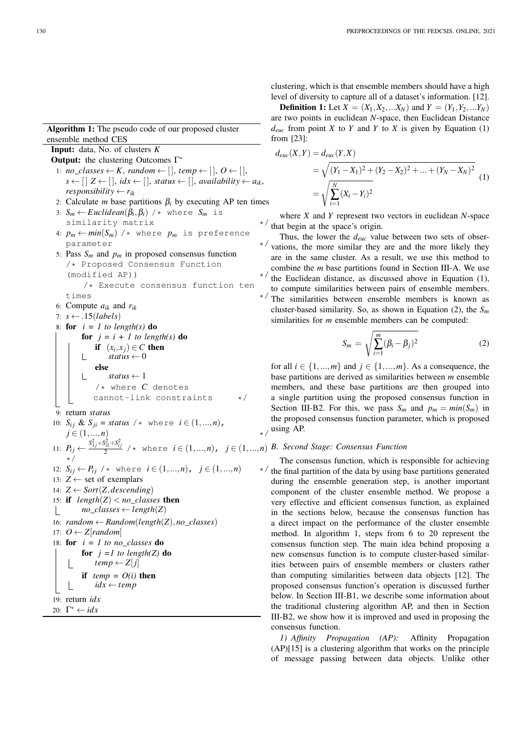Algorithm 1: The pseudo code of our proposed cluster ensemble method CES

```
Input: data, No. of clusters K
Output: the clustering Outcomes Γ<sup>*</sup>
  1: no\_classes \leftarrow K, random \leftarrow [], temp \leftarrow [], O \leftarrow [],
     s \leftarrow \left[ \begin{array}{l} 2 \leftarrow [ \end{array} \right], \, idx \leftarrow \left[ \begin{array}{l} 0 \end{array} \right], \, status \leftarrow \left[ \begin{array}{l} 0 \end{array} \right], \, availability \leftarrow a_{ik},responsibility \leftarrow r_{ik}2: Calculate m base partitions \beta_i by executing AP ten times
  3: S_m \leftarrow Euclidean(\beta_i, \beta_i) /* where S_m is
     similarity matrix
 4: p_m \leftarrow min(S_m) /* where p_m is preference
     parameter */
 5: Pass Sm and pm in proposed consensus function
     /* Proposed Consensus Function
     (modified AP))/* Execute consensus function ten
     times \star/6: Compute a_{ik} and r_{ik}7: s ← .15(labels)
 8: for i = 1 to length(s) do
          for j = i + 1 to length(s) do
               if (x_i, x_j) \in C then
                   status \leftarrow 0L
               else
                   status \leftarrow 1/* where C denotes
              cannot-link constraints */
 9: return status
10: S_{ij} \& S_{ji} = status \ / * \ where \ i \in (1, ..., n),
     j \in (1, ..., n)11: P_{ij} \leftarrow \frac{S_{1j}^2 + S_{ij}^2 + S_{ij}^2}{2} /* where i \in (1,...,n), j \in (1,...,n) B. Second Stage: Consensus Function
     */
 12: S_{ij} \leftarrow P_{ij} /* where i \in (1,...,n), j \in (1,...,n) */
13: Z \leftarrow set of exemplars
14: Z \leftarrow Sort(Z, descending)15: if length(Z) < no\_classes then
          no\_classes \leftarrow length(Z)\mathbb{L}16: random \leftarrow Random(length(Z),no\_classes)17: O \leftarrow Z[random]18: for i = 1 to no_classes do
          for j =1 to length(Z) do
              temp \leftarrow Z[j]if temp = O(i) then
              idx \leftarrow tempL
19: return idx
```

```
20: \Gamma^* \leftarrow idx
```
clustering, which is that ensemble members should have a high level of diversity to capture all of a dataset's information. [12].

**Definition 1:** Let  $X = (X_1, X_2, \ldots, X_N)$  and  $Y = (Y_1, Y_2, \ldots, Y_N)$ are two points in euclidean *N*-space, then Euclidean Distance  $d_{euc}$  from point *X* to *Y* and *Y* to *X* is given by Equation (1) from [23]:

$$
d_{euc}(X,Y) = d_{euc}(Y,X)
$$
  
=  $\sqrt{(Y_1 - X_1)^2 + (Y_2 - X_2)^2 + ... + (Y_N - X_N)^2}$   
=  $\sqrt{\sum_{i=1}^N (X_i - Y_i)^2}$  (1)

where *X* and *Y* represent two vectors in euclidean *N*-space  $\star$  that begin at the space's origin.

Thus, the lower the *deuc* value between two sets of obser- $\star$  vations, the more similar they are and the more likely they are in the same cluster. As a result, we use this method to combine the *m* base partitions found in Section III-A. We use  $\star$  the Euclidean distance, as discussed above in Equation (1), to compute similarities between pairs of ensemble members.  $\star$  The similarities between ensemble members is known as cluster-based similarity. So, as shown in Equation (2), the *S<sup>m</sup>* similarities for *m* ensemble members can be computed:

$$
S_m = \sqrt{\sum_{i=1}^m (\beta_i - \beta_j)^2}
$$
 (2)

for all  $i \in \{1, ..., m\}$  and  $j \in \{1, ..., m\}$ . As a consequence, the base partitions are derived as similarities between *m* ensemble members, and these base partitions are then grouped into a single partition using the proposed consensus function in Section III-B2. For this, we pass  $S_m$  and  $p_m = min(S_m)$  in the proposed consensus function parameter, which is proposed  $_{\star}$  / using AP.

The consensus function, which is responsible for achieving  $\star$  / the final partition of the data by using base partitions generated during the ensemble generation step, is another important component of the cluster ensemble method. We propose a very effective and efficient consensus function, as explained in the sections below, because the consensus function has a direct impact on the performance of the cluster ensemble method. In algorithm 1, steps from 6 to 20 represent the consensus function step. The main idea behind proposing a new consensus function is to compute cluster-based similarities between pairs of ensemble members or clusters rather than computing similarities between data objects [12]. The proposed consensus function's operation is discussed further below. In Section III-B1, we describe some information about the traditional clustering algorithm AP, and then in Section III-B2, we show how it is improved and used in proposing the consensus function.

*1) Affinity Propagation (AP):* Affinity Propagation (AP)[15] is a clustering algorithm that works on the principle of message passing between data objects. Unlike other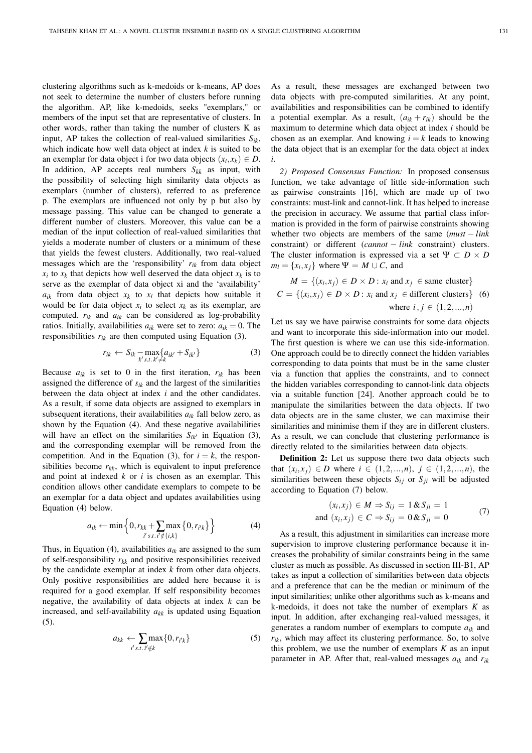clustering algorithms such as k-medoids or k-means, AP does not seek to determine the number of clusters before running the algorithm. AP, like k-medoids, seeks "exemplars," or members of the input set that are representative of clusters. In other words, rather than taking the number of clusters K as input, AP takes the collection of real-valued similarities  $S_{ik}$ , which indicate how well data object at index *k* is suited to be an exemplar for data object i for two data objects  $(x_i, x_k) \in D$ . In addition, AP accepts real numbers *Skk* as input, with the possibility of selecting high similarity data objects as exemplars (number of clusters), referred to as preference p. The exemplars are influenced not only by p but also by message passing. This value can be changed to generate a different number of clusters. Moreover, this value can be a median of the input collection of real-valued similarities that yields a moderate number of clusters or a minimum of these that yields the fewest clusters. Additionally, two real-valued messages which are the 'responsibility' *rik* from data object  $x_i$  to  $x_k$  that depicts how well deserved the data object  $x_k$  is to serve as the exemplar of data object xi and the 'availability'  $a_{ik}$  from data object  $x_k$  to  $x_i$  that depicts how suitable it would be for data object  $x_i$  to select  $x_k$  as its exemplar, are computed.  $r_{ik}$  and  $a_{ik}$  can be considered as log-probability ratios. Initially, availabilities  $a_{ik}$  were set to zero:  $a_{ik} = 0$ . The responsibilities  $r_{ik}$  are then computed using Equation (3).

$$
r_{ik} \leftarrow S_{ik} - \max_{k' s.t. k' \neq k} \{ a_{ik'} + S_{ik'} \}
$$
 (3)

Because  $a_{ik}$  is set to 0 in the first iteration,  $r_{ik}$  has been assigned the difference of *sik* and the largest of the similarities between the data object at index *i* and the other candidates. As a result, if some data objects are assigned to exemplars in subsequent iterations, their availabilities  $a_{ik}$  fall below zero, as shown by the Equation (4). And these negative availabilities will have an effect on the similarities  $S_{ik'}$  in Equation (3), and the corresponding exemplar will be removed from the competition. And in the Equation (3), for  $i = k$ , the responsibilities become  $r_{kk}$ , which is equivalent to input preference and point at indexed *k* or *i* is chosen as an exemplar. This condition allows other candidate exemplars to compete to be an exemplar for a data object and updates availabilities using Equation (4) below.

$$
a_{ik} \leftarrow \min \left\{ 0, r_{kk} + \sum_{i', s.t. i' \notin \{i,k\}} \max \left\{ 0, r_{i'k} \right\} \right\}
$$
 (4)

Thus, in Equation (4), availabilities  $a_{ik}$  are assigned to the sum of self-responsibility *rkk* and positive responsibilities received by the candidate exemplar at index *k* from other data objects. Only positive responsibilities are added here because it is required for a good exemplar. If self responsibility becomes negative, the availability of data objects at index *k* can be increased, and self-availability  $a_{kk}$  is updated using Equation (5).

$$
a_{kk} \leftarrow \sum_{i',s.t.\ i' \notin k} \max\{0, r_{i'k}\}\tag{5}
$$

As a result, these messages are exchanged between two data objects with pre-computed similarities. At any point, availabilities and responsibilities can be combined to identify a potential exemplar. As a result,  $(a_{ik} + r_{ik})$  should be the maximum to determine which data object at index *i* should be chosen as an exemplar. And knowing  $i = k$  leads to knowing the data object that is an exemplar for the data object at index *i*.

*2) Proposed Consensus Function:* In proposed consensus function, we take advantage of little side-information such as pairwise constraints [16], which are made up of two constraints: must-link and cannot-link. It has helped to increase the precision in accuracy. We assume that partial class information is provided in the form of pairwise constraints showing whether two objects are members of the same (*must* − *link* constraint) or different (*cannot* − *link* constraint) clusters. The cluster information is expressed via a set  $\Psi \subset D \times D$  $m_l = \{x_i, x_j\}$  where  $\Psi = M \cup C$ , and

$$
M = \{(x_i, x_j) \in D \times D : x_i \text{ and } x_j \in \text{same cluster}\}
$$
  

$$
C = \{(x_i, x_j) \in D \times D : x_i \text{ and } x_j \in \text{different clusters}\}
$$
(6)  
where  $i, j \in (1, 2, ..., n)$ 

Let us say we have pairwise constraints for some data objects and want to incorporate this side-information into our model. The first question is where we can use this side-information. One approach could be to directly connect the hidden variables corresponding to data points that must be in the same cluster via a function that applies the constraints, and to connect the hidden variables corresponding to cannot-link data objects via a suitable function [24]. Another approach could be to manipulate the similarities between the data objects. If two data objects are in the same cluster, we can maximise their similarities and minimise them if they are in different clusters. As a result, we can conclude that clustering performance is directly related to the similarities between data objects.

Definition 2: Let us suppose there two data objects such that  $(x_i, x_j) \in D$  where  $i \in (1, 2, ..., n)$ ,  $j \in (1, 2, ..., n)$ , the similarities between these objects  $S_{ij}$  or  $S_{ji}$  will be adjusted according to Equation (7) below.

$$
(x_i, x_j) \in M \Rightarrow S_{ij} = 1 \& S_{ji} = 1
$$
  
and 
$$
(x_i, x_j) \in C \Rightarrow S_{ij} = 0 \& S_{ji} = 0
$$
 (7)

As a result, this adjustment in similarities can increase more supervision to improve clustering performance because it increases the probability of similar constraints being in the same cluster as much as possible. As discussed in section III-B1, AP takes as input a collection of similarities between data objects and a preference that can be the median or minimum of the input similarities; unlike other algorithms such as k-means and k-medoids, it does not take the number of exemplars *K* as input. In addition, after exchanging real-valued messages, it generates a random number of exemplars to compute *aik* and *rik*, which may affect its clustering performance. So, to solve this problem, we use the number of exemplars  $K$  as an input parameter in AP. After that, real-valued messages *aik* and *rik*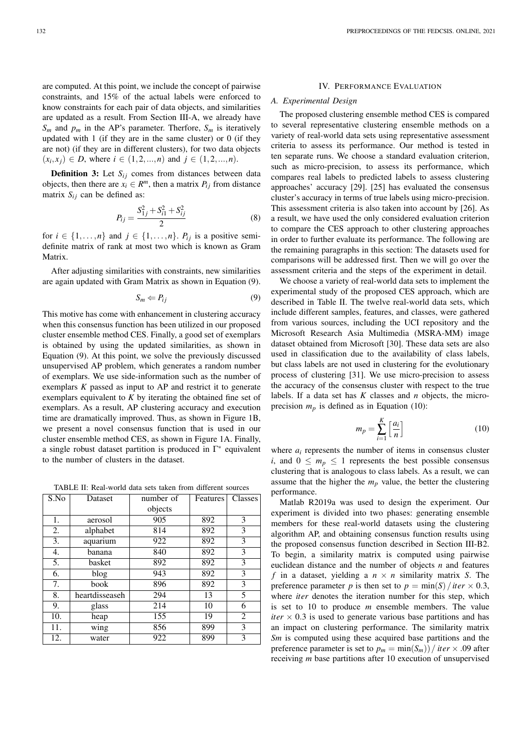are computed. At this point, we include the concept of pairwise constraints, and 15% of the actual labels were enforced to know constraints for each pair of data objects, and similarities are updated as a result. From Section III-A, we already have  $S_m$  and  $p_m$  in the AP's parameter. Therfore,  $S_m$  is iteratively updated with 1 (if they are in the same cluster) or 0 (if they are not) (if they are in different clusters), for two data objects  $(x_i, x_j) \in D$ , where  $i \in (1, 2, ..., n)$  and  $j \in (1, 2, ..., n)$ .

**Definition 3:** Let  $S_{ij}$  comes from distances between data objects, then there are  $x_i \in R^m$ , then a matrix  $P_{ij}$  from distance matrix  $S_{ij}$  can be defined as:

$$
P_{ij} = \frac{S_{1j}^2 + S_{i1}^2 + S_{ij}^2}{2}
$$
 (8)

for  $i \in \{1, \ldots, n\}$  and  $j \in \{1, \ldots, n\}$ .  $P_{ij}$  is a positive semidefinite matrix of rank at most two which is known as Gram Matrix.

After adjusting similarities with constraints, new similarities are again updated with Gram Matrix as shown in Equation (9).

$$
S_m \leftarrow P_{ij} \tag{9}
$$

This motive has come with enhancement in clustering accuracy when this consensus function has been utilized in our proposed cluster ensemble method CES. Finally, a good set of exemplars is obtained by using the updated similarities, as shown in Equation (9). At this point, we solve the previously discussed unsupervised AP problem, which generates a random number of exemplars. We use side-information such as the number of exemplars *K* passed as input to AP and restrict it to generate exemplars equivalent to *K* by iterating the obtained fine set of exemplars. As a result, AP clustering accuracy and execution time are dramatically improved. Thus, as shown in Figure 1B, we present a novel consensus function that is used in our cluster ensemble method CES, as shown in Figure 1A. Finally, a single robust dataset partition is produced in  $\Gamma^*$  equivalent to the number of clusters in the dataset.

TABLE II: Real-world data sets taken from different sources

| S.No | Dataset        | number of | Features | Classes        |
|------|----------------|-----------|----------|----------------|
|      |                | objects   |          |                |
| 1.   | aerosol        | 905       | 892      | 3              |
| 2.   | alphabet       | 814       | 892      | 3              |
| 3.   | aquarium       | 922       | 892      | 3              |
| 4.   | banana         | 840       | 892      | 3              |
| 5.   | basket         | 892       | 892      | 3              |
| 6.   | blog           | 943       | 892      | 3              |
| 7.   | book           | 896       | 892      | 3              |
| 8.   | heartdisseaseh | 294       | 13       | 5              |
| 9.   | glass          | 214       | 10       | 6              |
| 10.  | heap           | 155       | 19       | $\overline{c}$ |
| 11.  | wing           | 856       | 899      | 3              |
| 12.  | water          | 922       | 899      | 3              |

## IV. PERFORMANCE EVALUATION

#### *A. Experimental Design*

The proposed clustering ensemble method CES is compared to several representative clustering ensemble methods on a variety of real-world data sets using representative assessment criteria to assess its performance. Our method is tested in ten separate runs. We choose a standard evaluation criterion, such as micro-precision, to assess its performance, which compares real labels to predicted labels to assess clustering approaches' accuracy [29]. [25] has evaluated the consensus cluster's accuracy in terms of true labels using micro-precision. This assessment criteria is also taken into account by [26]. As a result, we have used the only considered evaluation criterion to compare the CES approach to other clustering approaches in order to further evaluate its performance. The following are the remaining paragraphs in this section: The datasets used for comparisons will be addressed first. Then we will go over the assessment criteria and the steps of the experiment in detail.

We choose a variety of real-world data sets to implement the experimental study of the proposed CES approach, which are described in Table II. The twelve real-world data sets, which include different samples, features, and classes, were gathered from various sources, including the UCI repository and the Microsoft Research Asia Multimedia (MSRA-MM) image dataset obtained from Microsoft [30]. These data sets are also used in classification due to the availability of class labels, but class labels are not used in clustering for the evolutionary process of clustering [31]. We use micro-precision to assess the accuracy of the consensus cluster with respect to the true labels. If a data set has *K* classes and *n* objects, the microprecision  $m_p$  is defined as in Equation (10):

$$
m_p = \sum_{i=1}^{K} \left[ \frac{a_i}{n} \right] \tag{10}
$$

where  $a_i$  represents the number of items in consensus cluster *i*, and  $0 \leq m_p \leq 1$  represents the best possible consensus clustering that is analogous to class labels. As a result, we can assume that the higher the  $m_p$  value, the better the clustering performance.

Matlab R2019a was used to design the experiment. Our experiment is divided into two phases: generating ensemble members for these real-world datasets using the clustering algorithm AP, and obtaining consensus function results using the proposed consensus function described in Section III-B2. To begin, a similarity matrix is computed using pairwise euclidean distance and the number of objects *n* and features *f* in a dataset, yielding a  $n \times n$  similarity matrix *S*. The preference parameter *p* is then set to  $p = min(S)/iter \times 0.3$ , where *iter* denotes the iteration number for this step, which is set to 10 to produce *m* ensemble members. The value *iter*  $\times$  0.3 is used to generate various base partitions and has an impact on clustering performance. The similarity matrix *Sm* is computed using these acquired base partitions and the preference parameter is set to  $p_m = \min(S_m) / iter \times .09$  after receiving *m* base partitions after 10 execution of unsupervised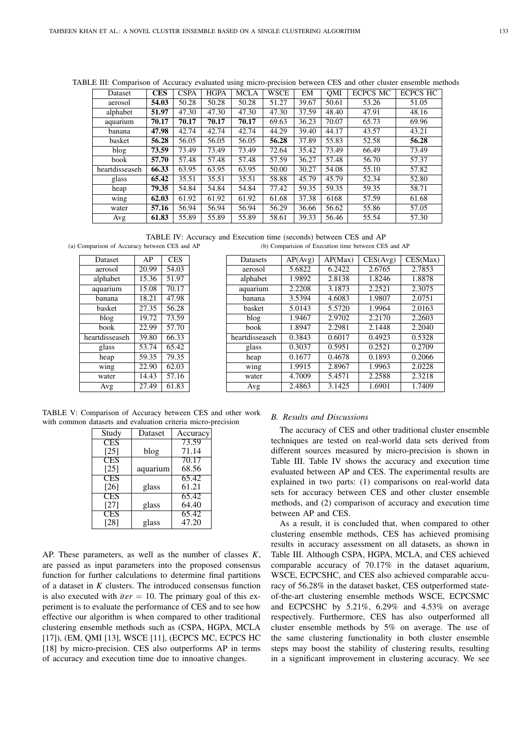| Dataset        | <b>CES</b> | <b>CSPA</b> | <b>HGPA</b> | <b>MCLA</b> | <b>WSCE</b> | EM    | OMI   | <b>ECPCS MC</b> | <b>ECPCS HC</b> |
|----------------|------------|-------------|-------------|-------------|-------------|-------|-------|-----------------|-----------------|
| aerosol        | 54.03      | 50.28       | 50.28       | 50.28       | 51.27       | 39.67 | 50.61 | 53.26           | 51.05           |
| alphabet       | 51.97      | 47.30       | 47.30       | 47.30       | 47.30       | 37.59 | 48.40 | 47.91           | 48.16           |
| aquarium       | 70.17      | 70.17       | 70.17       | 70.17       | 69.63       | 36.23 | 70.07 | 65.73           | 69.96           |
| banana         | 47.98      | 42.74       | 42.74       | 42.74       | 44.29       | 39.40 | 44.17 | 43.57           | 43.21           |
| basket         | 56.28      | 56.05       | 56.05       | 56.05       | 56.28       | 37.89 | 55.83 | 52.58           | 56.28           |
| blog           | 73.59      | 73.49       | 73.49       | 73.49       | 72.64       | 35.42 | 73.49 | 66.49           | 73.49           |
| book           | 57.70      | 57.48       | 57.48       | 57.48       | 57.59       | 36.27 | 57.48 | 56.70           | 57.37           |
| heartdisseaseh | 66.33      | 63.95       | 63.95       | 63.95       | 50.00       | 30.27 | 54.08 | 55.10           | 57.82           |
| glass          | 65.42      | 35.51       | 35.51       | 35.51       | 58.88       | 45.79 | 45.79 | 52.34           | 52.80           |
| heap           | 79.35      | 54.84       | 54.84       | 54.84       | 77.42       | 59.35 | 59.35 | 59.35           | 58.71           |
| wing           | 62.03      | 61.92       | 61.92       | 61.92       | 61.68       | 37.38 | 6168  | 57.59           | 61.68           |
| water          | 57.16      | 56.94       | 56.94       | 56.94       | 56.29       | 36.66 | 56.62 | 55.86           | 57.05           |
| Avg            | 61.83      | 55.89       | 55.89       | 55.89       | 58.61       | 39.33 | 56.46 | 55.54           | 57.30           |

TABLE III: Comparison of Accuracy evaluated using micro-precision between CES and other cluster ensemble methods

TABLE IV: Accuracy and Execution time (seconds) between CES and AP (a) Comparison of Accuracy between CES and AP (b) Comparision of Execution time between CES and AP

| Dataset        | AP    | <b>CES</b> |
|----------------|-------|------------|
| aerosol        | 20.99 | 54.03      |
| alphabet       | 15.36 | 51.97      |
| aquarium       | 15.08 | 70.17      |
| banana         | 18.21 | 47.98      |
| basket         | 27.35 | 56.28      |
| blog           | 19.72 | 73.59      |
| book           | 22.99 | 57.70      |
| heartdisseaseh | 39.80 | 66.33      |
| glass          | 53.74 | 65.42      |
| heap           | 59.35 | 79.35      |
| wing           | 22.90 | 62.03      |
| water          | 14.43 | 57.16      |
| Avg            | 27.49 | 61.83      |
|                |       |            |

| <b>Datasets</b> | AP(Avg) | AP(Max) | CES(Avg) | CES(Max) |
|-----------------|---------|---------|----------|----------|
| aerosol         | 5.6822  | 6.2422  | 2.6765   | 2.7853   |
| alphabet        | 1.9892  | 2.8138  | 1.8246   | 1.8878   |
| aquarium        | 2.2208  | 3.1873  | 2.2521   | 2.3075   |
| banana          | 3.5394  | 4.6083  | 1.9807   | 2.0751   |
| basket          | 5.0143  | 5.5720  | 1.9964   | 2.0163   |
| blog            | 1.9467  | 2.9702  | 2.2170   | 2.2603   |
| book            | 1.8947  | 2.2981  | 2.1448   | 2.2040   |
| heartdisseaseh  | 0.3843  | 0.6017  | 0.4923   | 0.5328   |
| glass           | 0.3037  | 0.5951  | 0.2521   | 0.2709   |
| heap            | 0.1677  | 0.4678  | 0.1893   | 0.2066   |
| wing            | 1.9915  | 2.8967  | 1.9963   | 2.0228   |
| water           | 4.7009  | 5.4571  | 2.2588   | 2.3218   |
| Avg             | 2.4863  | 3.1425  | 1.6901   | 1.7409   |

TABLE V: Comparison of Accuracy between CES and other work with common datasets and evaluation criteria micro-precision

| Study      | Dataset  | Accuracy |
|------------|----------|----------|
| CES        |          | 73.59    |
| [25]       | blog     | 71.14    |
| CES        |          | 70.17    |
| [25]       | aquarium | 68.56    |
| <b>CES</b> |          | 65.42    |
| [26]       | glass    | 61.21    |
| CES        |          | 65.42    |
| [27]       | glass    | 64.40    |
| CES        |          | 65.42    |
| [28]       | glass    | 47.20    |

AP. These parameters, as well as the number of classes *K*, are passed as input parameters into the proposed consensus function for further calculations to determine final partitions of a dataset in *K* clusters. The introduced consensus function is also executed with  $iter = 10$ . The primary goal of this experiment is to evaluate the performance of CES and to see how effective our algorithm is when compared to other traditional clustering ensemble methods such as (CSPA, HGPA, MCLA [17]), (EM, QMI [13], WSCE [11], (ECPCS MC, ECPCS HC [18] by micro-precision. CES also outperforms AP in terms of accuracy and execution time due to innoative changes.

#### *B. Results and Discussions*

The accuracy of CES and other traditional cluster ensemble techniques are tested on real-world data sets derived from different sources measured by micro-precision is shown in Table III. Table IV shows the accuracy and execution time evaluated between AP and CES. The experimental results are explained in two parts: (1) comparisons on real-world data sets for accuracy between CES and other cluster ensemble methods, and (2) comparison of accuracy and execution time between AP and CES.

As a result, it is concluded that, when compared to other clustering ensemble methods, CES has achieved promising results in accuracy assessment on all datasets, as shown in Table III. Although CSPA, HGPA, MCLA, and CES achieved comparable accuracy of 70.17% in the dataset aquarium, WSCE, ECPCSHC, and CES also achieved comparable accuracy of 56.28% in the dataset basket, CES outperformed stateof-the-art clustering ensemble methods WSCE, ECPCSMC and ECPCSHC by 5.21%, 6.29% and 4.53% on average respectively. Furthermore, CES has also outperformed all cluster ensemble methods by 5% on average. The use of the same clustering functionality in both cluster ensemble steps may boost the stability of clustering results, resulting in a significant improvement in clustering accuracy. We see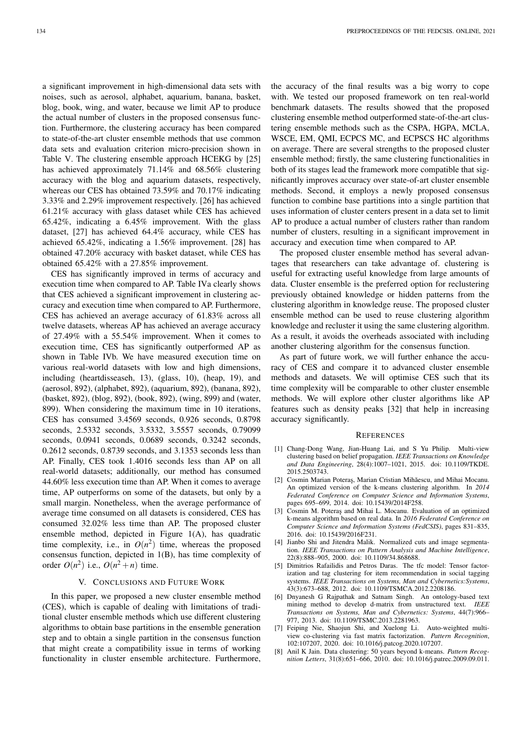a significant improvement in high-dimensional data sets with noises, such as aerosol, alphabet, aquarium, banana, basket, blog, book, wing, and water, because we limit AP to produce the actual number of clusters in the proposed consensus function. Furthermore, the clustering accuracy has been compared to state-of-the-art cluster ensemble methods that use common data sets and evaluation criterion micro-precision shown in Table V. The clustering ensemble approach HCEKG by [25] has achieved approximately 71.14% and 68.56% clustering accuracy with the blog and aquarium datasets, respectively, whereas our CES has obtained 73.59% and 70.17% indicating 3.33% and 2.29% improvement respectively. [26] has achieved 61.21% accuracy with glass dataset while CES has achieved 65.42%, indicating a 6.45% improvement. With the glass dataset, [27] has achieved 64.4% accuracy, while CES has achieved 65.42%, indicating a 1.56% improvement. [28] has obtained 47.20% accuracy with basket dataset, while CES has obtained 65.42% with a 27.85% improvement.

CES has significantly improved in terms of accuracy and execution time when compared to AP. Table IVa clearly shows that CES achieved a significant improvement in clustering accuracy and execution time when compared to AP. Furthermore, CES has achieved an average accuracy of 61.83% across all twelve datasets, whereas AP has achieved an average accuracy of 27.49% with a 55.54% improvement. When it comes to execution time, CES has significantly outperformed AP as shown in Table IVb. We have measured execution time on various real-world datasets with low and high dimensions, including (heartdisseaseh, 13), (glass, 10), (heap, 19), and (aerosol, 892), (alphabet, 892), (aquarium, 892), (banana, 892), (basket, 892), (blog, 892), (book, 892), (wing, 899) and (water, 899). When considering the maximum time in 10 iterations, CES has consumed 3.4569 seconds, 0.926 seconds, 0.8798 seconds, 2.5332 seconds, 3.5332, 3.5557 seconds, 0.79099 seconds, 0.0941 seconds, 0.0689 seconds, 0.3242 seconds, 0.2612 seconds, 0.8739 seconds, and 3.1353 seconds less than AP. Finally, CES took 1.4016 seconds less than AP on all real-world datasets; additionally, our method has consumed 44.60% less execution time than AP. When it comes to average time, AP outperforms on some of the datasets, but only by a small margin. Nonetheless, when the average performance of average time consumed on all datasets is considered, CES has consumed 32.02% less time than AP. The proposed cluster ensemble method, depicted in Figure 1(A), has quadratic time complexity, i.e., in  $O(n^2)$  time, whereas the proposed consensus function, depicted in 1(B), has time complexity of order  $O(n^2)$  i.e.,  $O(n^2 + n)$  time.

### V. CONCLUSIONS AND FUTURE WORK

In this paper, we proposed a new cluster ensemble method (CES), which is capable of dealing with limitations of traditional cluster ensemble methods which use different clustering algorithms to obtain base partitions in the ensemble generation step and to obtain a single partition in the consensus function that might create a compatibility issue in terms of working functionality in cluster ensemble architecture. Furthermore, the accuracy of the final results was a big worry to cope with. We tested our proposed framework on ten real-world benchmark datasets. The results showed that the proposed clustering ensemble method outperformed state-of-the-art clustering ensemble methods such as the CSPA, HGPA, MCLA, WSCE, EM, QMI, ECPCS MC, and ECPSCS HC algorithms on average. There are several strengths to the proposed cluster ensemble method; firstly, the same clustering functionalities in both of its stages lead the framework more compatible that significantly improves accuracy over state-of-art cluster ensemble methods. Second, it employs a newly proposed consensus function to combine base partitions into a single partition that uses information of cluster centers present in a data set to limit AP to produce a actual number of clusters rather than random number of clusters, resulting in a significant improvement in accuracy and execution time when compared to AP.

The proposed cluster ensemble method has several advantages that researchers can take advantage of. clustering is useful for extracting useful knowledge from large amounts of data. Cluster ensemble is the preferred option for reclustering previously obtained knowledge or hidden patterns from the clustering algorithm in knowledge reuse. The proposed cluster ensemble method can be used to reuse clustering algorithm knowledge and recluster it using the same clustering algorithm. As a result, it avoids the overheads associated with including another clustering algorithm for the consensus function.

As part of future work, we will further enhance the accuracy of CES and compare it to advanced cluster ensemble methods and datasets. We will optimise CES such that its time complexity will be comparable to other cluster ensemble methods. We will explore other cluster algorithms like AP features such as density peaks [32] that help in increasing accuracy significantly.

#### **REFERENCES**

- [1] Chang-Dong Wang, Jian-Huang Lai, and S Yu Philip. Multi-view clustering based on belief propagation. *IEEE Transactions on Knowledge and Data Engineering*, 28(4):1007–1021, 2015. doi: 10.1109/TKDE. 2015.2503743.
- [2] Cosmin Marian Poteraş, Marian Cristian Mihăescu, and Mihai Mocanu. An optimized version of the k-means clustering algorithm. In *2014 Federated Conference on Computer Science and Information Systems*, pages 695–699, 2014. doi: 10.15439/2014F258.
- [3] Cosmin M. Poteraş and Mihai L. Mocanu. Evaluation of an optimized k-means algorithm based on real data. In *2016 Federated Conference on Computer Science and Information Systems (FedCSIS)*, pages 831–835, 2016. doi: 10.15439/2016F231.
- [4] Jianbo Shi and Jitendra Malik. Normalized cuts and image segmentation. *IEEE Transactions on Pattern Analysis and Machine Intelligence*, 22(8):888–905, 2000. doi: 10.1109/34.868688.
- [5] Dimitrios Rafailidis and Petros Daras. The tfc model: Tensor factorization and tag clustering for item recommendation in social tagging systems. *IEEE Transactions on Systems, Man and Cybernetics:Systems*, 43(3):673–688, 2012. doi: 10.1109/TSMCA.2012.2208186.
- [6] Dnyanesh G Rajpathak and Satnam Singh. An ontology-based text mining method to develop d-matrix from unstructured text. *IEEE Transactions on Systems, Man and Cybernetics: Systems*, 44(7):966– 977, 2013. doi: 10.1109/TSMC.2013.2281963.
- [7] Feiping Nie, Shaojun Shi, and Xuelong Li. Auto-weighted multiview co-clustering via fast matrix factorization. *Pattern Recognition*, 102:107207, 2020. doi: 10.1016/j.patcog.2020.107207.
- [8] Anil K Jain. Data clustering: 50 years beyond k-means. *Pattern Recognition Letters*, 31(8):651–666, 2010. doi: 10.1016/j.patrec.2009.09.011.